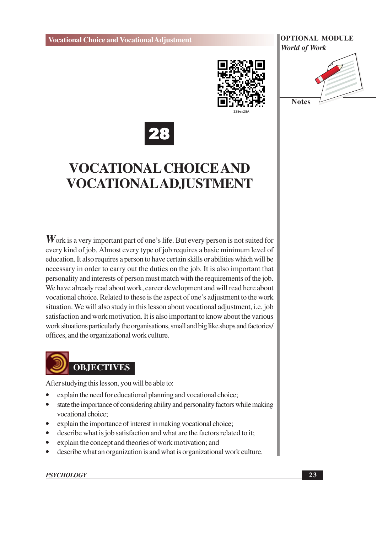





## **VOCATIONAL CHOICE AND** VOCATIONALAD,JUSTMENT

 $W$  ork is a very important part of one's life. But every person is not suited for every kind of job. Almost every type of job requires a basic minimum level of education. It also requires a person to have certain skills or abilities which will be necessary in order to carry out the duties on the job. It is also important that personality and interests of person must match with the requirements of the job. We have already read about work, career development and will read here about vocational choice. Related to these is the aspect of one's adjustment to the work situation. We will also study in this lesson about vocational adjustment, i.e. job satisfaction and work motivation. It is also important to know about the various work situations particularly the organisations, small and big like shops and factories/ offices, and the organizational work culture.



After studying this lesson, you will be able to:

- explain the need for educational planning and vocational choice;
- state the importance of considering ability and personality factors while making vocational choice:
- explain the importance of interest in making vocational choice;
- describe what is job satisfaction and what are the factors related to it;  $\bullet$
- explain the concept and theories of work motivation; and
- describe what an organization is and what is organizational work culture.

#### **PSYCHOLOGY**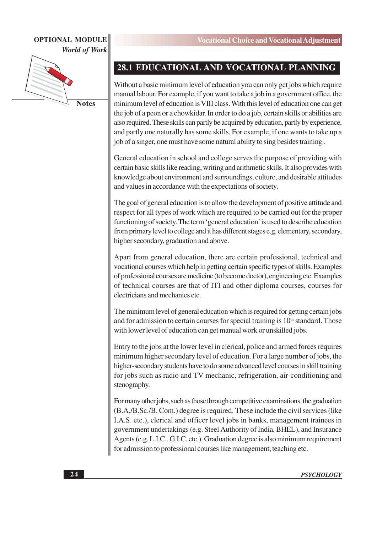

**Notes** 

#### 28.1 EDUCATIONAL AND VOCATIONAL PLANNING

Without a basic minimum level of education you can only get jobs which require manual labour. For example, if you want to take a job in a government office, the minimum level of education is VIII class. With this level of education one can get the job of a peon or a chowkidar. In order to do a job, certain skills or abilities are also required. These skills can partly be acquired by education, partly by experience, and partly one naturally has some skills. For example, if one wants to take up a job of a singer, one must have some natural ability to sing besides training.

General education in school and college serves the purpose of providing with certain basic skills like reading, writing and arithmetic skills. It also provides with knowledge about environment and surroundings, culture, and desirable attitudes and values in accordance with the expectations of society.

The goal of general education is to allow the development of positive attitude and respect for all types of work which are required to be carried out for the proper functioning of society. The term 'general education' is used to describe education from primary level to college and it has different stages e.g. elementary, secondary, higher secondary, graduation and above.

Apart from general education, there are certain professional, technical and vocational courses which help in getting certain specific types of skills. Examples of professional courses are medicine (to become doctor), engineering etc. Examples of technical courses are that of ITI and other diploma courses, courses for electricians and mechanics etc.

The minimum level of general education which is required for getting certain jobs and for admission to certain courses for special training is  $10<sup>th</sup>$  standard. Those with lower level of education can get manual work or unskilled jobs.

Entry to the jobs at the lower level in clerical, police and armed forces requires minimum higher secondary level of education. For a large number of jobs, the higher-secondary students have to do some advanced level courses in skill training for jobs such as radio and TV mechanic, refrigeration, air-conditioning and stenography.

For many other jobs, such as those through competitive examinations, the graduation (B.A./B.Sc./B.Com.) degree is required. These include the civil services (like I.A.S. etc.), clerical and officer level jobs in banks, management trainees in government undertakings (e.g. Steel Authority of India, BHEL), and Insurance Agents (e.g. L.I.C., G.I.C. etc.). Graduation degree is also minimum requirement for admission to professional courses like management, teaching etc.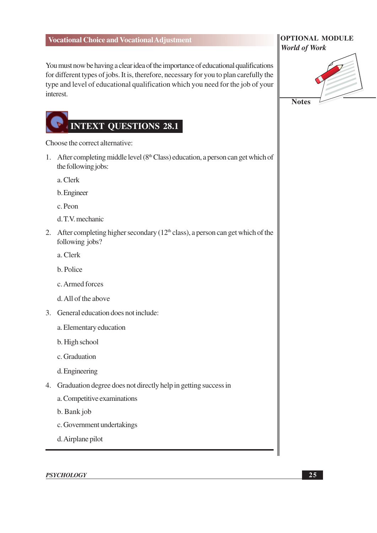You must now be having a clear idea of the importance of educational qualifications for different types of jobs. It is, therefore, necessary for you to plan carefully the type and level of educational qualification which you need for the job of your interest.

# **INTEXT QUESTIONS 28.1**

Choose the correct alternative:

1. After completing middle level  $(8<sup>th</sup> Class)$  education, a person can get which of the following jobs:

a. Clerk

- b. Engineer
- c. Peon
- d.T.V. mechanic
- 2. After completing higher secondary ( $12<sup>th</sup>$  class), a person can get which of the following jobs?
	- a. Clerk
	- b. Police
	- c. Armed forces
	- d. All of the above
- 3. General education does not include:
	- a. Elementary education
	- b. High school
	- c. Graduation
	- d. Engineering
- 4. Graduation degree does not directly help in getting success in
	- a. Competitive examinations
	- b. Bank job
	- c. Government undertakings
	- d. Airplane pilot

**PSYCHOLOGY** 

#### **OPTIONAL MODULE World of Work**

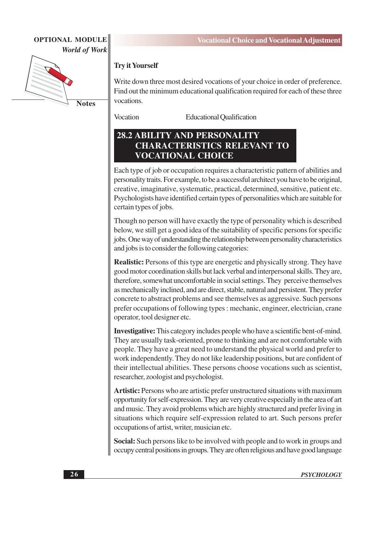

Write down three most desired vocations of your choice in order of preference. Find out the minimum educational qualification required for each of these three vocations.

Vocation

**Try it Yourself** 

**Educational Qualification** 

#### **28.2 ABILITY AND PERSONALITY CHARACTERISTICS RELEVANT TO VOCATIONAL CHOICE**

Each type of job or occupation requires a characteristic pattern of abilities and personality traits. For example, to be a successful architect you have to be original, creative, imaginative, systematic, practical, determined, sensitive, patient etc. Psychologists have identified certain types of personalities which are suitable for certain types of jobs.

Though no person will have exactly the type of personality which is described below, we still get a good idea of the suitability of specific persons for specific jobs. One way of understanding the relationship between personality characteristics and jobs is to consider the following categories:

**Realistic:** Persons of this type are energetic and physically strong. They have good motor coordination skills but lack verbal and interpersonal skills. They are, therefore, somewhat uncomfortable in social settings. They perceive themselves as mechanically inclined, and are direct, stable, natural and persistent. They prefer concrete to abstract problems and see themselves as aggressive. Such persons prefer occupations of following types : mechanic, engineer, electrician, crane operator, tool designer etc.

**Investigative:** This category includes people who have a scientific bent-of-mind. They are usually task-oriented, prone to thinking and are not comfortable with people. They have a great need to understand the physical world and prefer to work independently. They do not like leadership positions, but are confident of their intellectual abilities. These persons choose vocations such as scientist, researcher, zoologist and psychologist.

Artistic: Persons who are artistic prefer unstructured situations with maximum opportunity for self-expression. They are very creative especially in the area of art and music. They avoid problems which are highly structured and prefer living in situations which require self-expression related to art. Such persons prefer occupations of artist, writer, musician etc.

Social: Such persons like to be involved with people and to work in groups and occupy central positions in groups. They are often religious and have good language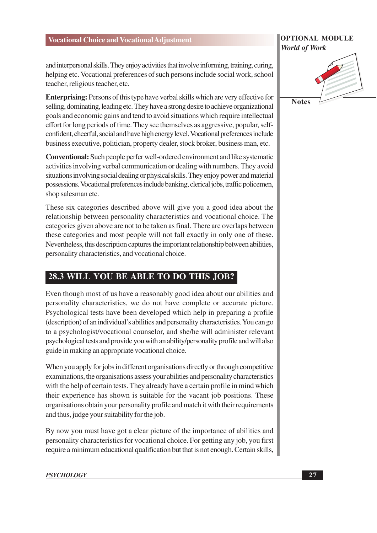#### **OPTIONAL MODULE World of Work**

and interpersonal skills. They enjoy activities that involve informing, training, curing, helping etc. Vocational preferences of such persons include social work, school teacher, religious teacher, etc.

**Enterprising:** Persons of this type have verbal skills which are very effective for selling, dominating, leading etc. They have a strong desire to achieve organizational goals and economic gains and tend to avoid situations which require intellectual effort for long periods of time. They see themselves as aggressive, popular, selfconfident, cheerful, social and have high energy level. Vocational preferences include business executive, politician, property dealer, stock broker, business man, etc.

**Conventional:** Such people perfer well-ordered environment and like systematic activities involving verbal communication or dealing with numbers. They avoid situations involving social dealing or physical skills. They enjoy power and material possessions. Vocational preferences include banking, clerical jobs, traffic policemen, shop salesman etc.

These six categories described above will give you a good idea about the relationship between personality characteristics and vocational choice. The categories given above are not to be taken as final. There are overlaps between these categories and most people will not fall exactly in only one of these. Nevertheless, this description captures the important relationship between abilities, personality characteristics, and vocational choice.

### 28.3 WILL YOU BE ABLE TO DO THIS JOB?

Even though most of us have a reasonably good idea about our abilities and personality characteristics, we do not have complete or accurate picture. Psychological tests have been developed which help in preparing a profile (description) of an individual's abilities and personality characteristics. You can go to a psychologist/vocational counselor, and she/he will administer relevant psychological tests and provide you with an ability/personality profile and will also guide in making an appropriate vocational choice.

When you apply for jobs in different organisations directly or through competitive examinations, the organisations assess your abilities and personality characteristics with the help of certain tests. They already have a certain profile in mind which their experience has shown is suitable for the vacant job positions. These organisations obtain your personality profile and match it with their requirements and thus, judge your suitability for the job.

By now you must have got a clear picture of the importance of abilities and personality characteristics for vocational choice. For getting any job, you first require a minimum educational qualification but that is not enough. Certain skills,

**Notes**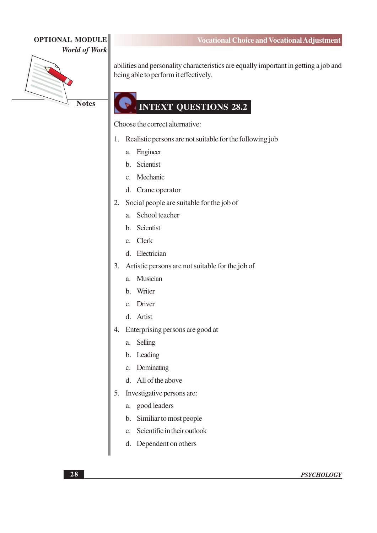

**Notes** 

#### **Vocational Choice and Vocational Adjustment**

abilities and personality characteristics are equally important in getting a job and being able to perform it effectively.

## **INTEXT QUESTIONS 28.2**

Choose the correct alternative:

- 1. Realistic persons are not suitable for the following job
	- Engineer a.
	- b. Scientist
	- c. Mechanic
	- d. Crane operator
- 2. Social people are suitable for the job of
	- a. School teacher
	- b. Scientist
	- c. Clerk
	- d. Electrician
- 3. Artistic persons are not suitable for the job of
	- a. Musician
	- b. Writer
	- c. Driver
	- d. Artist
- 4. Enterprising persons are good at
	- Selling a.
	- b. Leading
	- c. Dominating
	- d. All of the above
- 5. Investigative persons are:
	- a. good leaders
	- b. Similiar to most people
	- c. Scientific in their outlook
	- d. Dependent on others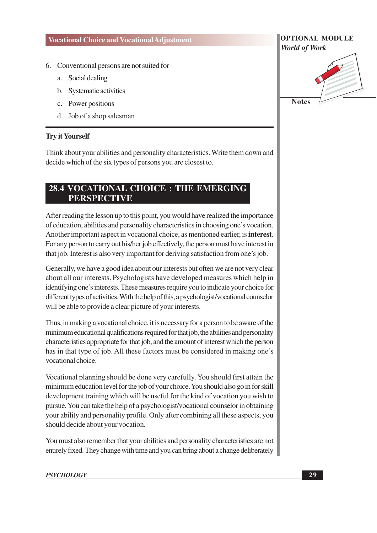- 6. Conventional persons are not suited for
	- Social dealing a.
	- b. Systematic activities
	- c. Power positions
	- d. Job of a shop salesman

#### **Trv it Yourself**

Think about your abilities and personality characteristics. Write them down and decide which of the six types of persons you are closest to.

#### 28.4 VOCATIONAL CHOICE : THE EMERGING **PERSPECTIVE**

After reading the lesson up to this point, you would have realized the importance of education, abilities and personality characteristics in choosing one's vocation. Another important aspect in vocational choice, as mentioned earlier, is **interest**. For any person to carry out his/her job effectively, the person must have interest in that job. Interest is also very important for deriving satisfaction from one's job.

Generally, we have a good idea about our interests but often we are not very clear about all our interests. Psychologists have developed measures which help in identifying one's interests. These measures require you to indicate your choice for different types of activities. With the help of this, a psychologist/vocational counselor will be able to provide a clear picture of your interests.

Thus, in making a vocational choice, it is necessary for a person to be aware of the minimum educational qualifications required for that job, the abilities and personality characteristics appropriate for that job, and the amount of interest which the person has in that type of job. All these factors must be considered in making one's vocational choice.

Vocational planning should be done very carefully. You should first attain the minimum education level for the job of your choice. You should also go in for skill development training which will be useful for the kind of vocation you wish to pursue. You can take the help of a psychologist/vocational counselor in obtaining your ability and personality profile. Only after combining all these aspects, you should decide about your vocation.

You must also remember that your abilities and personality characteristics are not entirely fixed. They change with time and you can bring about a change deliberately

#### **PSYCHOLOGY**

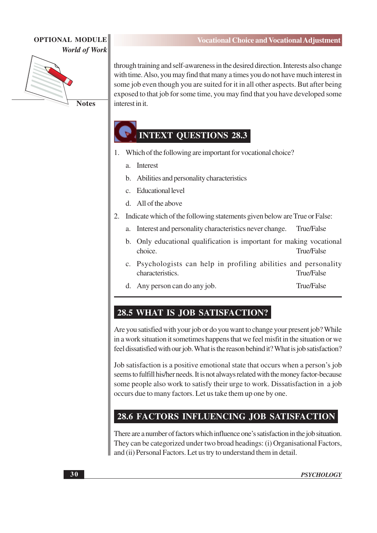

**Notes** 

through training and self-awareness in the desired direction. Interests also change with time. Also, you may find that many a times you do not have much interest in some job even though you are suited for it in all other aspects. But after being exposed to that job for some time, you may find that you have developed some interest in it.

### **INTEXT OUESTIONS 28.3**

- 1. Which of the following are important for vocational choice?
	- **Interest**  $\overline{a}$ .
	- $h$ Abilities and personality characteristics
	- **Educational level**  $\mathbf{c}$ .
	- d. All of the above
- $2.$ Indicate which of the following statements given below are True or False:
	- Interest and personality characteristics never change. True/False a.
	- b. Only educational qualification is important for making vocational choice. **True/False**
	- c. Psychologists can help in profiling abilities and personality characteristics. True/False
	- d. Any person can do any job. **True/False**

#### 28.5 WHAT IS JOB SATISFACTION?

Are you satisfied with your job or do you want to change your present job? While in a work situation it sometimes happens that we feel misfit in the situation or we feel dissatisfied with our job. What is the reason behind it? What is job satisfaction?

Job satisfaction is a positive emotional state that occurs when a person's job seems to fulfill his/her needs. It is not always related with the money factor-because some people also work to satisfy their urge to work. Dissatisfaction in a job occurs due to many factors. Let us take them up one by one.

#### 28.6 FACTORS INFLUENCING JOB SATISFACTION

There are a number of factors which influence one's satisfaction in the job situation. They can be categorized under two broad headings: (i) Organisational Factors, and (ii) Personal Factors. Let us try to understand them in detail.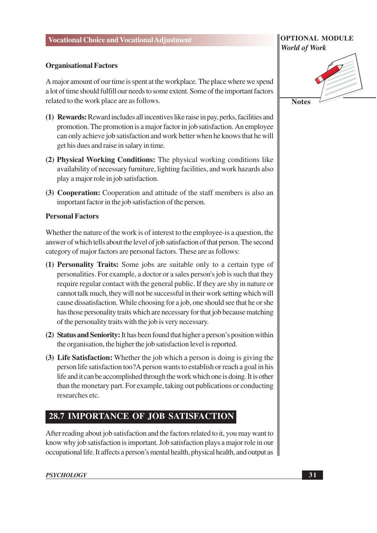#### **Organisational Factors**

A major amount of our time is spent at the workplace. The place where we spend a lot of time should fulfill our needs to some extent. Some of the important factors related to the work place are as follows.

- (1) Rewards: Reward includes all incentives like raise in pay, perks, facilities and promotion. The promotion is a major factor in job satisfaction. An employee can only achieve job satisfaction and work better when he knows that he will get his dues and raise in salary in time.
- (2) Physical Working Conditions: The physical working conditions like availability of necessary furniture, lighting facilities, and work hazards also play a major role in job satisfaction.
- (3) Cooperation: Cooperation and attitude of the staff members is also an important factor in the job satisfaction of the person.

#### **Personal Factors**

Whether the nature of the work is of interest to the employee-is a question, the answer of which tells about the level of job satisfaction of that person. The second category of major factors are personal factors. These are as follows:

- (1) Personality Traits: Some jobs are suitable only to a certain type of personalities. For example, a doctor or a sales person's job is such that they require regular contact with the general public. If they are shy in nature or cannot talk much, they will not be successful in their work setting which will cause dissatisfaction. While choosing for a job, one should see that he or she has those personality traits which are necessary for that job because matching of the personality traits with the job is very necessary.
- (2) Status and Seniority: It has been found that higher a person's position within the organisation, the higher the job satisfaction level is reported.
- (3) Life Satisfaction: Whether the job which a person is doing is giving the person life satisfaction too?A person wants to establish or reach a goal in his life and it can be accomplished through the work which one is doing. It is other than the monetary part. For example, taking out publications or conducting researches etc.

#### 28.7 IMPORTANCE OF JOB SATISFACTION

After reading about job satisfaction and the factors related to it, you may want to know why job satisfaction is important. Job satisfaction plays a major role in our occupational life. It affects a person's mental health, physical health, and output as

#### **PSYCHOLOGY**

## **OPTIONAL MODULE World of Work Notes**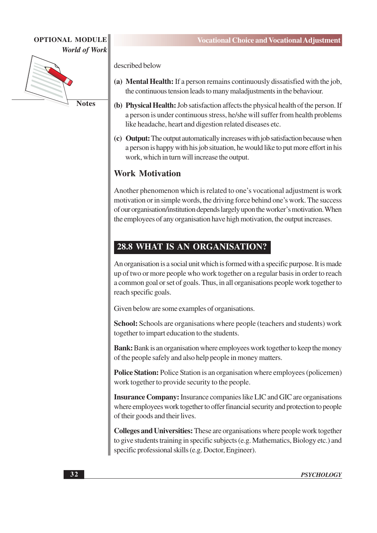

**Notes** 

described below

- (a) Mental Health: If a person remains continuously dissatisfied with the job, the continuous tension leads to many maladjustments in the behaviour.
- (b) Physical Health: Job satisfaction affects the physical health of the person. If a person is under continuous stress, he/she will suffer from health problems like headache, heart and digestion related diseases etc.
- (c) Output: The output automatically increases with job satisfaction because when a person is happy with his job situation, he would like to put more effort in his work, which in turn will increase the output.

#### **Work Motivation**

Another phenomenon which is related to one's vocational adjustment is work motivation or in simple words, the driving force behind one's work. The success of our organisation/institution depends largely upon the worker's motivation. When the employees of any organisation have high motivation, the output increases.

### 28.8 WHAT IS AN ORGANISATION?

An organisation is a social unit which is formed with a specific purpose. It is made up of two or more people who work together on a regular basis in order to reach a common goal or set of goals. Thus, in all organisations people work together to reach specific goals.

Given below are some examples of organisations.

**School:** Schools are organisations where people (teachers and students) work together to impart education to the students.

**Bank:** Bank is an organisation where employees work together to keep the money of the people safely and also help people in money matters.

**Police Station:** Police Station is an organisation where employees (policemen) work together to provide security to the people.

**Insurance Company:** Insurance companies like LIC and GIC are organisations where employees work together to offer financial security and protection to people of their goods and their lives.

**Colleges and Universities:** These are organisations where people work together to give students training in specific subjects (e.g. Mathematics, Biology etc.) and specific professional skills (e.g. Doctor, Engineer).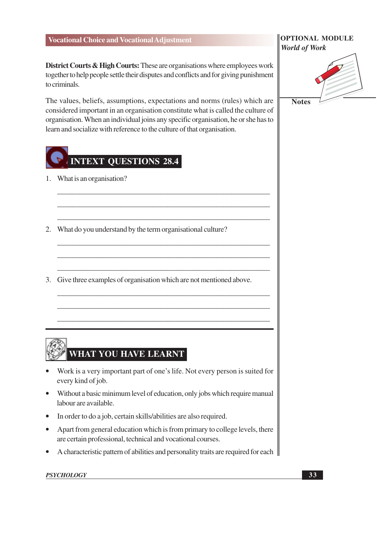District Courts & High Courts: These are organisations where employees work together to help people settle their disputes and conflicts and for giving punishment to criminals.

The values, beliefs, assumptions, expectations and norms (rules) which are considered important in an organisation constitute what is called the culture of organisation. When an individual joins any specific organisation, he or she has to learn and socialize with reference to the culture of that organisation.

## **INTEXT QUESTIONS 28.4**

- 1. What is an organisation?
- 2. What do you understand by the term organisational culture?
- 3. Give three examples of organisation which are not mentioned above.

## WHAT YOU HAVE LEARNT

- Work is a very important part of one's life. Not every person is suited for every kind of job.
- Without a basic minimum level of education, only jobs which require manual labour are available.
- In order to do a job, certain skills/abilities are also required.
- Apart from general education which is from primary to college levels, there are certain professional, technical and vocational courses.
- A characteristic pattern of abilities and personality traits are required for each

#### **PSYCHOLOGY**

#### **OPTIONAL MODULE World of Work**